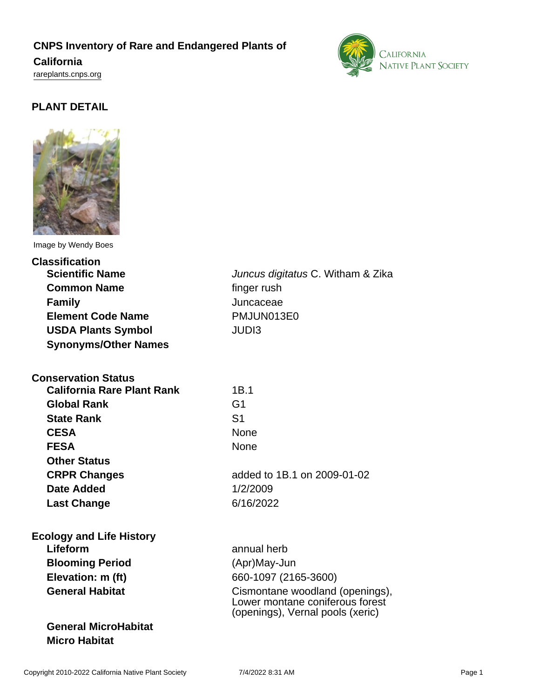## **CNPS Inventory of Rare and Endangered Plants of**

#### **California**

<rareplants.cnps.org>



### **PLANT DETAIL**



Image by Wendy Boes

| <b>Scientific Name</b><br>Juncus digitatus C. Witham & Zika<br><b>Common Name</b><br>finger rush<br>Juncaceae<br><b>Family</b><br><b>Element Code Name</b><br>PMJUN013E0<br><b>JUDI3</b><br><b>USDA Plants Symbol</b><br><b>Synonyms/Other Names</b><br><b>Conservation Status</b><br><b>California Rare Plant Rank</b><br>1B.1<br>G <sub>1</sub><br><b>Global Rank</b><br>S <sub>1</sub><br><b>State Rank</b><br><b>CESA</b><br><b>None</b><br><b>FESA</b><br><b>None</b><br><b>Other Status</b><br>added to 1B.1 on 2009-01-02<br><b>CRPR Changes</b><br><b>Date Added</b><br>1/2/2009<br>6/16/2022<br><b>Last Change</b><br><b>Ecology and Life History</b><br>Lifeform<br>annual herb<br><b>Blooming Period</b><br>(Apr)May-Jun<br>Elevation: m (ft)<br>660-1097 (2165-3600)<br><b>General Habitat</b><br>Cismontane woodland (openings),<br>Lower montane coniferous forest<br>(openings), Vernal pools (xeric)<br><b>General MicroHabitat</b><br><b>Micro Habitat</b> | <b>Classification</b> |  |
|-----------------------------------------------------------------------------------------------------------------------------------------------------------------------------------------------------------------------------------------------------------------------------------------------------------------------------------------------------------------------------------------------------------------------------------------------------------------------------------------------------------------------------------------------------------------------------------------------------------------------------------------------------------------------------------------------------------------------------------------------------------------------------------------------------------------------------------------------------------------------------------------------------------------------------------------------------------------------------|-----------------------|--|
|                                                                                                                                                                                                                                                                                                                                                                                                                                                                                                                                                                                                                                                                                                                                                                                                                                                                                                                                                                             |                       |  |
|                                                                                                                                                                                                                                                                                                                                                                                                                                                                                                                                                                                                                                                                                                                                                                                                                                                                                                                                                                             |                       |  |
|                                                                                                                                                                                                                                                                                                                                                                                                                                                                                                                                                                                                                                                                                                                                                                                                                                                                                                                                                                             |                       |  |
|                                                                                                                                                                                                                                                                                                                                                                                                                                                                                                                                                                                                                                                                                                                                                                                                                                                                                                                                                                             |                       |  |
|                                                                                                                                                                                                                                                                                                                                                                                                                                                                                                                                                                                                                                                                                                                                                                                                                                                                                                                                                                             |                       |  |
|                                                                                                                                                                                                                                                                                                                                                                                                                                                                                                                                                                                                                                                                                                                                                                                                                                                                                                                                                                             |                       |  |
|                                                                                                                                                                                                                                                                                                                                                                                                                                                                                                                                                                                                                                                                                                                                                                                                                                                                                                                                                                             |                       |  |
|                                                                                                                                                                                                                                                                                                                                                                                                                                                                                                                                                                                                                                                                                                                                                                                                                                                                                                                                                                             |                       |  |
|                                                                                                                                                                                                                                                                                                                                                                                                                                                                                                                                                                                                                                                                                                                                                                                                                                                                                                                                                                             |                       |  |
|                                                                                                                                                                                                                                                                                                                                                                                                                                                                                                                                                                                                                                                                                                                                                                                                                                                                                                                                                                             |                       |  |
|                                                                                                                                                                                                                                                                                                                                                                                                                                                                                                                                                                                                                                                                                                                                                                                                                                                                                                                                                                             |                       |  |
|                                                                                                                                                                                                                                                                                                                                                                                                                                                                                                                                                                                                                                                                                                                                                                                                                                                                                                                                                                             |                       |  |
|                                                                                                                                                                                                                                                                                                                                                                                                                                                                                                                                                                                                                                                                                                                                                                                                                                                                                                                                                                             |                       |  |
|                                                                                                                                                                                                                                                                                                                                                                                                                                                                                                                                                                                                                                                                                                                                                                                                                                                                                                                                                                             |                       |  |
|                                                                                                                                                                                                                                                                                                                                                                                                                                                                                                                                                                                                                                                                                                                                                                                                                                                                                                                                                                             |                       |  |
|                                                                                                                                                                                                                                                                                                                                                                                                                                                                                                                                                                                                                                                                                                                                                                                                                                                                                                                                                                             |                       |  |
|                                                                                                                                                                                                                                                                                                                                                                                                                                                                                                                                                                                                                                                                                                                                                                                                                                                                                                                                                                             |                       |  |
|                                                                                                                                                                                                                                                                                                                                                                                                                                                                                                                                                                                                                                                                                                                                                                                                                                                                                                                                                                             |                       |  |
|                                                                                                                                                                                                                                                                                                                                                                                                                                                                                                                                                                                                                                                                                                                                                                                                                                                                                                                                                                             |                       |  |
|                                                                                                                                                                                                                                                                                                                                                                                                                                                                                                                                                                                                                                                                                                                                                                                                                                                                                                                                                                             |                       |  |
|                                                                                                                                                                                                                                                                                                                                                                                                                                                                                                                                                                                                                                                                                                                                                                                                                                                                                                                                                                             |                       |  |
|                                                                                                                                                                                                                                                                                                                                                                                                                                                                                                                                                                                                                                                                                                                                                                                                                                                                                                                                                                             |                       |  |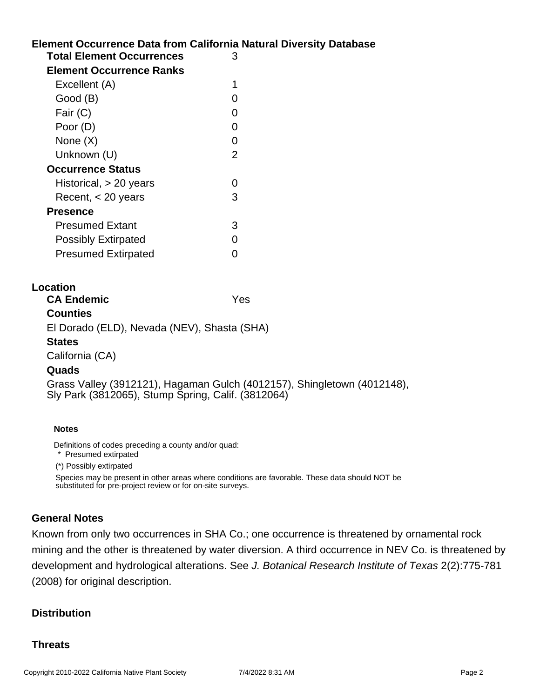# **Element Occurrence Data from California Natural Diversity Database Location Notes** Definitions of codes preceding a county and/or quad: **Total Element Occurrences** 3 **Element Occurrence Ranks** Excellent (A) 1 Good (B) and the contract of the contract of the contract of the contract of the contract of the contract of the contract of the contract of the contract of the contract of the contract of the contract of the contract of t Fair (C) 0 Poor (D) 0 None  $(X)$  0 Unknown (U) 2 **Occurrence Status** Historical, > 20 years 0 Recent, < 20 years 3 **Presence** Presumed Extant 3 Possibly Extirpated 0 Presumed Extirpated 0 **CA Endemic** Yes **Counties** El Dorado (ELD), Nevada (NEV), Shasta (SHA) **States** California (CA) **Quads** Grass Valley (3912121), Hagaman Gulch (4012157), Shingletown (4012148), Sly Park (3812065), Stump Spring, Calif. (3812064)

\* Presumed extirpated

(\*) Possibly extirpated

Species may be present in other areas where conditions are favorable. These data should NOT be substituted for pre-project review or for on-site surveys.

#### **General Notes**

Known from only two occurrences in SHA Co.; one occurrence is threatened by ornamental rock mining and the other is threatened by water diversion. A third occurrence in NEV Co. is threatened by development and hydrological alterations. See J. Botanical Research Institute of Texas 2(2):775-781 (2008) for original description.

#### **Distribution**

#### **Threats**